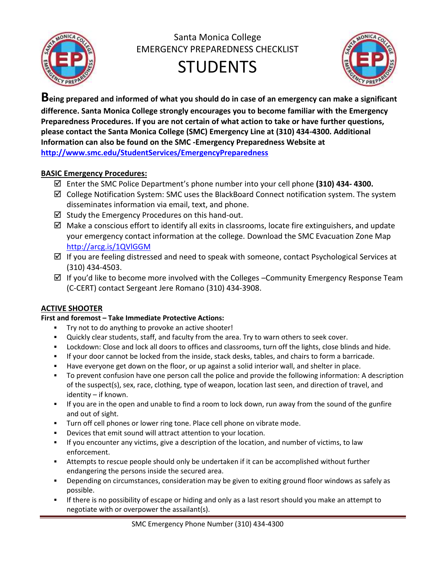

Santa Monica College EMERGENCY PREPAREDNESS CHECKLIST





**Being prepared and informed of what you should do in case of an emergency can make a significant difference. Santa Monica College strongly encourages you to become familiar with the Emergency Preparedness Procedures. If you are not certain of what action to take or have further questions, please contact the Santa Monica College (SMC) Emergency Line at (310) 434-4300. Additional Information can also be found on the SMC -Emergency Preparedness Website at <http://www.smc.edu/StudentServices/EmergencyPreparedness>**

### **BASIC Emergency Procedures:**

- Enter the SMC Police Department's phone number into your cell phone **(310) 434- 4300.**
- $\boxtimes$  College Notification System: SMC uses the BlackBoard Connect notification system. The system disseminates information via email, text, and phone.
- $\boxtimes$  Study the Emergency Procedures on this hand-out.
- $\boxtimes$  Make a conscious effort to identify all exits in classrooms, locate fire extinguishers, and update your emergency contact information at the college. Download the SMC Evacuation Zone Map <http://arcg.is/1QVlGGM>
- $\boxtimes$  If you are feeling distressed and need to speak with someone, contact Psychological Services at (310) 434-4503.
- $\boxtimes$  If you'd like to become more involved with the Colleges –Community Emergency Response Team (C-CERT) contact Sergeant Jere Romano (310) 434-3908.

# **ACTIVE SHOOTER**

### **First and foremost – Take Immediate Protective Actions:**

- Try not to do anything to provoke an active shooter!
- Quickly clear students, staff, and faculty from the area. Try to warn others to seek cover.
- **Lockdown: Close and lock all doors to offices and classrooms, turn off the lights, close blinds and hide.**
- If your door cannot be locked from the inside, stack desks, tables, and chairs to form a barricade.
- Have everyone get down on the floor, or up against a solid interior wall, and shelter in place.
- To prevent confusion have one person call the police and provide the following information: A description of the suspect(s), sex, race, clothing, type of weapon, location last seen, and direction of travel, and identity – if known.
- If you are in the open and unable to find a room to lock down, run away from the sound of the gunfire and out of sight.
- **Turn off cell phones or lower ring tone. Place cell phone on vibrate mode.**
- Devices that emit sound will attract attention to your location.
- If you encounter any victims, give a description of the location, and number of victims, to law enforcement.
- Attempts to rescue people should only be undertaken if it can be accomplished without further endangering the persons inside the secured area.
- Depending on circumstances, consideration may be given to exiting ground floor windows as safely as possible.
- If there is no possibility of escape or hiding and only as a last resort should you make an attempt to negotiate with or overpower the assailant(s).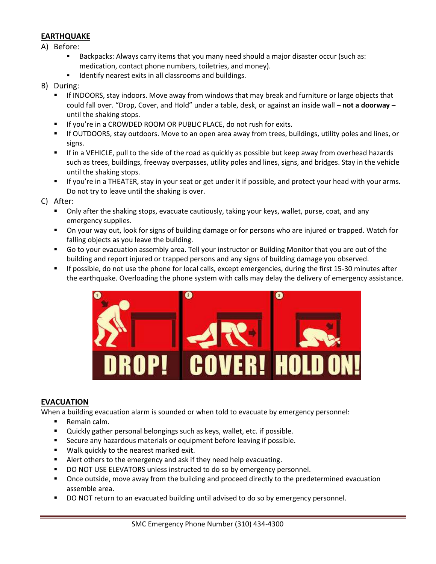#### **EARTHQUAKE**

- A) Before:
	- Backpacks: Always carry items that you many need should a major disaster occur (such as: medication, contact phone numbers, toiletries, and money).
	- Identify nearest exits in all classrooms and buildings.
- B) During:
	- If INDOORS, stay indoors. Move away from windows that may break and furniture or large objects that could fall over. "Drop, Cover, and Hold" under a table, desk, or against an inside wall – **not a doorway** – until the shaking stops.
	- **If you're in a CROWDED ROOM OR PUBLIC PLACE, do not rush for exits.**
	- If OUTDOORS, stay outdoors. Move to an open area away from trees, buildings, utility poles and lines, or signs.
	- If in a VEHICLE, pull to the side of the road as quickly as possible but keep away from overhead hazards such as trees, buildings, freeway overpasses, utility poles and lines, signs, and bridges. Stay in the vehicle until the shaking stops.
	- If you're in a THEATER, stay in your seat or get under it if possible, and protect your head with your arms. Do not try to leave until the shaking is over.

C) After:

- **•** Only after the shaking stops, evacuate cautiously, taking your keys, wallet, purse, coat, and any emergency supplies.
- On your way out, look for signs of building damage or for persons who are injured or trapped. Watch for falling objects as you leave the building.
- Go to your evacuation assembly area. Tell your instructor or Building Monitor that you are out of the building and report injured or trapped persons and any signs of building damage you observed.
- If possible, do not use the phone for local calls, except emergencies, during the first 15-30 minutes after the earthquake. Overloading the phone system with calls may delay the delivery of emergency assistance.



#### **EVACUATION**

When a building evacuation alarm is sounded or when told to evacuate by emergency personnel:

- Remain calm.
- **Quickly gather personal belongings such as keys, wallet, etc. if possible.**
- **Secure any hazardous materials or equipment before leaving if possible.**
- **Walk quickly to the nearest marked exit.**
- Alert others to the emergency and ask if they need help evacuating.
- **DO NOT USE ELEVATORS unless instructed to do so by emergency personnel.**
- Once outside, move away from the building and proceed directly to the predetermined evacuation assemble area.
- DO NOT return to an evacuated building until advised to do so by emergency personnel.